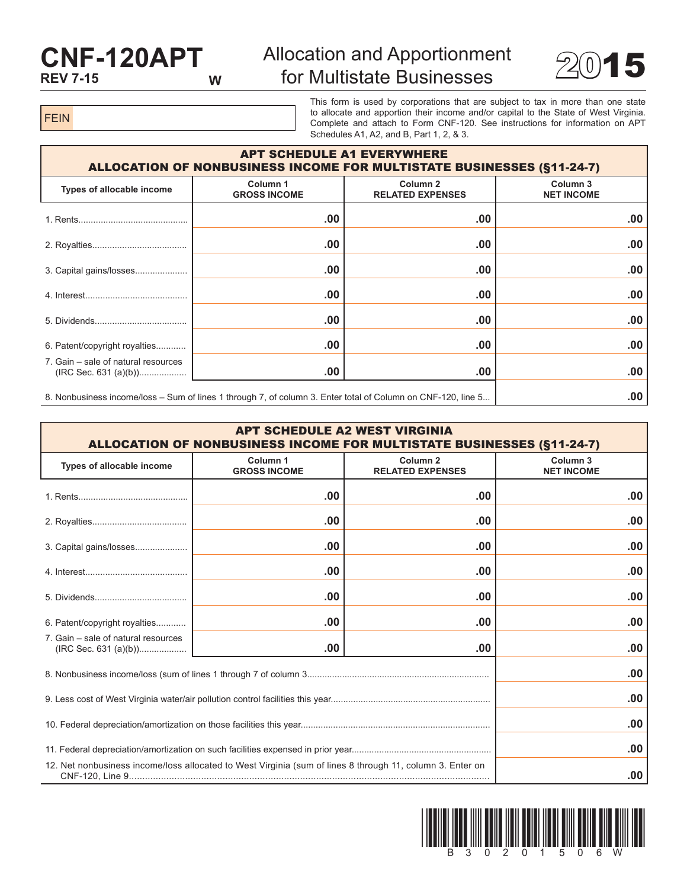## **CNF-120APT REV 7-15 W**

## Allocation and Apportionment for Multistate Businesses  $2015$



FEIN

This form is used by corporations that are subject to tax in more than one state to allocate and apportion their income and/or capital to the State of West Virginia. Complete and attach to Form CNF-120. See instructions for information on APT Schedules A1, A2, and B, Part 1, 2, & 3.

| <b>APT SCHEDULE A1 EVERYWHERE</b><br><b>ALLOCATION OF NONBUSINESS INCOME FOR MULTISTATE BUSINESSES (§11-24-7)</b> |                                            |                                                |                                          |  |
|-------------------------------------------------------------------------------------------------------------------|--------------------------------------------|------------------------------------------------|------------------------------------------|--|
| Types of allocable income                                                                                         | Column <sub>1</sub><br><b>GROSS INCOME</b> | Column <sub>2</sub><br><b>RELATED EXPENSES</b> | Column <sub>3</sub><br><b>NET INCOME</b> |  |
|                                                                                                                   | .00                                        | .00                                            | .00                                      |  |
|                                                                                                                   | .00                                        | .00                                            | .00                                      |  |
| 3. Capital gains/losses                                                                                           | .00                                        | .00                                            | .00                                      |  |
|                                                                                                                   | .00                                        | .00                                            | .00                                      |  |
|                                                                                                                   | .00                                        | .00                                            | .00                                      |  |
| 6. Patent/copyright royalties                                                                                     | .00                                        | .00                                            | .00                                      |  |
| 7. Gain – sale of natural resources                                                                               | .00                                        | .00                                            | .00                                      |  |
| 8. Nonbusiness income/loss – Sum of lines 1 through 7, of column 3. Enter total of Column on CNF-120, line 5      |                                            |                                                | .00                                      |  |

| <b>APT SCHEDULE A2 WEST VIRGINIA</b><br><b>ALLOCATION OF NONBUSINESS INCOME FOR MULTISTATE BUSINESSES (§11-24-7)</b> |                                            |                                                |                                          |  |
|----------------------------------------------------------------------------------------------------------------------|--------------------------------------------|------------------------------------------------|------------------------------------------|--|
| Types of allocable income                                                                                            | Column <sub>1</sub><br><b>GROSS INCOME</b> | Column <sub>2</sub><br><b>RELATED EXPENSES</b> | Column <sub>3</sub><br><b>NET INCOME</b> |  |
|                                                                                                                      | .00                                        | .00                                            | .00                                      |  |
|                                                                                                                      | .00                                        | .00                                            | .00                                      |  |
|                                                                                                                      | .00                                        | .00                                            | .00                                      |  |
|                                                                                                                      | .00                                        | .00                                            | .00                                      |  |
|                                                                                                                      | .00                                        | .00                                            | .00                                      |  |
| 6. Patent/copyright royalties                                                                                        | .00                                        | .00                                            | .00                                      |  |
| 7. Gain – sale of natural resources                                                                                  | .00.                                       | .00                                            | .00                                      |  |
|                                                                                                                      | .00                                        |                                                |                                          |  |
|                                                                                                                      |                                            |                                                | .00                                      |  |
|                                                                                                                      |                                            |                                                | .00                                      |  |
|                                                                                                                      |                                            |                                                | .00                                      |  |
| 12. Net nonbusiness income/loss allocated to West Virginia (sum of lines 8 through 11, column 3. Enter on            |                                            |                                                |                                          |  |